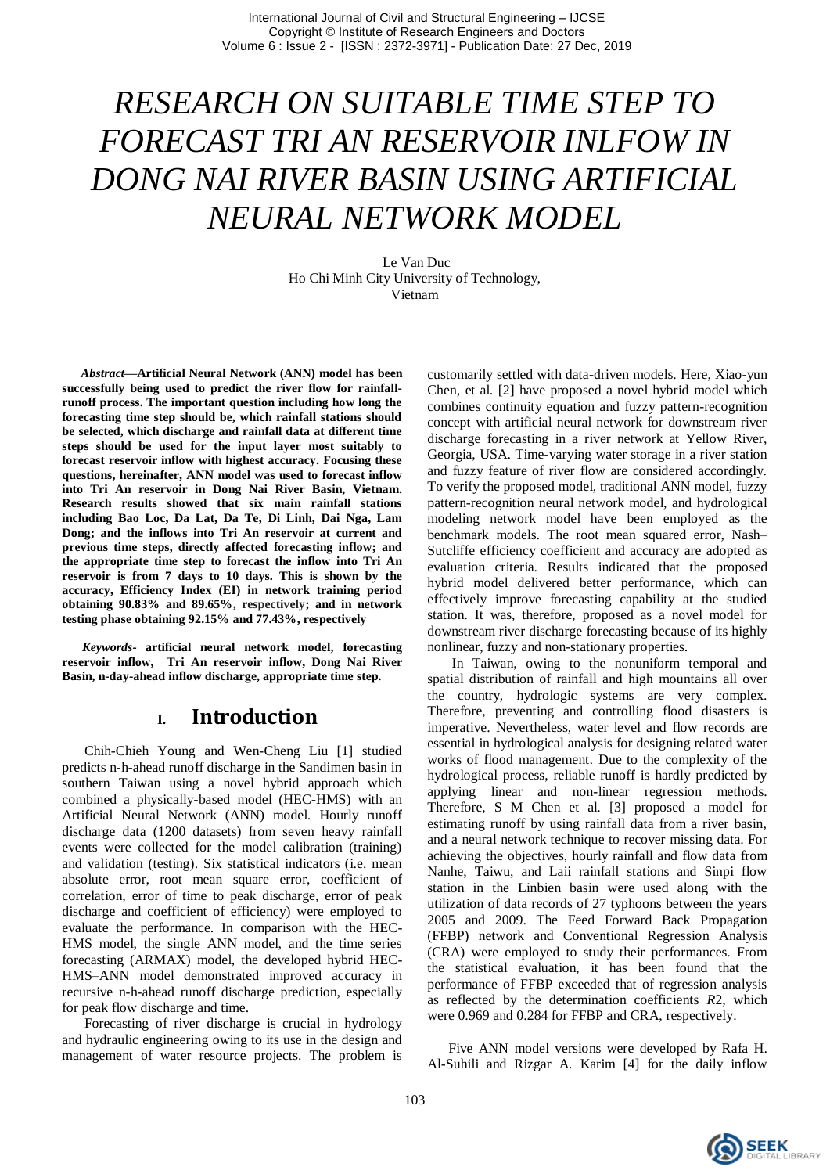# *RESEARCH ON SUITABLE TIME STEP TO FORECAST TRI AN RESERVOIR INLFOW IN DONG NAI RIVER BASIN USING ARTIFICIAL NEURAL NETWORK MODEL*

Le Van Duc Ho Chi Minh City University of Technology, Vietnam

*Abstract***—Artificial Neural Network (ANN) model has been successfully being used to predict the river flow for rainfallrunoff process. The important question including how long the forecasting time step should be, which rainfall stations should be selected, which discharge and rainfall data at different time steps should be used for the input layer most suitably to forecast reservoir inflow with highest accuracy. Focusing these questions, hereinafter, ANN model was used to forecast inflow into Tri An reservoir in Dong Nai River Basin, Vietnam. Research results showed that six main rainfall stations including Bao Loc, Da Lat, Da Te, Di Linh, Dai Nga, Lam Dong; and the inflows into Tri An reservoir at current and previous time steps, directly affected forecasting inflow; and the appropriate time step to forecast the inflow into Tri An reservoir is from 7 days to 10 days. This is shown by the accuracy, Efficiency Index (EI) in network training period obtaining 90.83% and 89.65%, respectively; and in network testing phase obtaining 92.15% and 77.43%, respectively**

*Keywords-* **artificial neural network model, forecasting reservoir inflow, Tri An reservoir inflow, Dong Nai River Basin, n-day-ahead inflow discharge, appropriate time step***.*

#### **I. Introduction**

 Chih-Chieh Young and Wen-Cheng Liu [1] studied predicts n-h-ahead runoff discharge in the Sandimen basin in southern Taiwan using a novel hybrid approach which combined a physically-based model (HEC-HMS) with an Artificial Neural Network (ANN) model. Hourly runoff discharge data (1200 datasets) from seven heavy rainfall events were collected for the model calibration (training) and validation (testing). Six statistical indicators (i.e. mean absolute error, root mean square error, coefficient of correlation, error of time to peak discharge, error of peak discharge and coefficient of efficiency) were employed to evaluate the performance. In comparison with the HEC-HMS model, the single ANN model, and the time series forecasting (ARMAX) model, the developed hybrid HEC-HMS–ANN model demonstrated improved accuracy in recursive n-h-ahead runoff discharge prediction, especially for peak flow discharge and time.

 Forecasting of river discharge is crucial in hydrology and hydraulic engineering owing to its use in the design and management of water resource projects. The problem is customarily settled with data-driven models. Here, Xiao-yun Chen, et al. [2] have proposed a novel hybrid model which combines continuity equation and fuzzy pattern-recognition concept with artificial neural network for downstream river discharge forecasting in a river network at Yellow River, Georgia, USA. Time-varying water storage in a river station and fuzzy feature of river flow are considered accordingly. To verify the proposed model, traditional ANN model, fuzzy pattern-recognition neural network model, and hydrological modeling network model have been employed as the benchmark models. The root mean squared error, Nash– Sutcliffe efficiency coefficient and accuracy are adopted as evaluation criteria. Results indicated that the proposed hybrid model delivered better performance, which can effectively improve forecasting capability at the studied station. It was, therefore, proposed as a novel model for downstream river discharge forecasting because of its highly nonlinear, fuzzy and non-stationary properties.

 In Taiwan, owing to the nonuniform temporal and spatial distribution of rainfall and high mountains all over the country, hydrologic systems are very complex. Therefore, preventing and controlling flood disasters is imperative. Nevertheless, water level and flow records are essential in hydrological analysis for designing related water works of flood management. Due to the complexity of the hydrological process, reliable runoff is hardly predicted by applying linear and non-linear regression methods. Therefore, S M Chen et al. [3] proposed a model for estimating runoff by using rainfall data from a river basin, and a neural network technique to recover missing data. For achieving the objectives, hourly rainfall and flow data from Nanhe, Taiwu, and Laii rainfall stations and Sinpi flow station in the Linbien basin were used along with the utilization of data records of 27 typhoons between the years 2005 and 2009. The Feed Forward Back Propagation (FFBP) network and Conventional Regression Analysis (CRA) were employed to study their performances. From the statistical evaluation, it has been found that the performance of FFBP exceeded that of regression analysis as reflected by the determination coefficients *R*2, which were 0.969 and 0.284 for FFBP and CRA, respectively.

 Five ANN model versions were developed by Rafa H. Al-Suhili and Rizgar A. Karim [4] for the daily inflow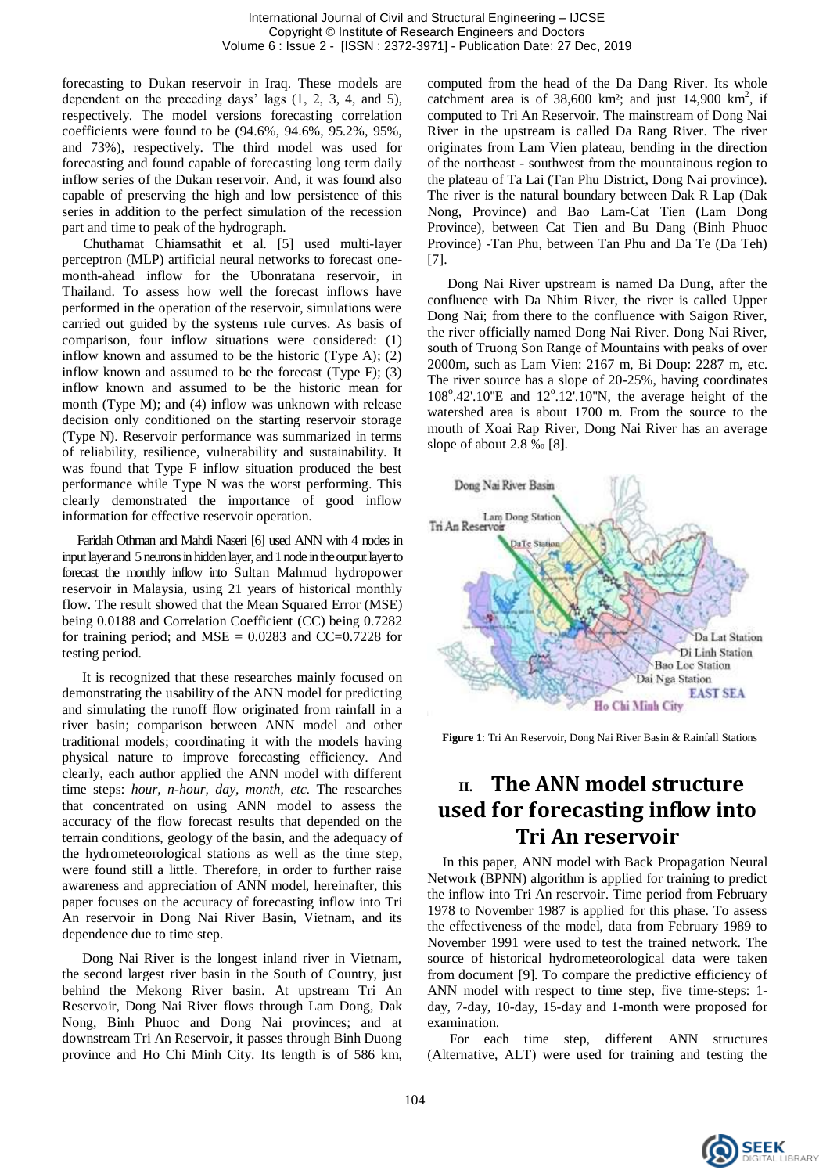forecasting to Dukan reservoir in Iraq. These models are dependent on the preceding days' lags (1, 2, 3, 4, and 5), respectively. The model versions forecasting correlation coefficients were found to be (94.6%, 94.6%, 95.2%, 95%, and 73%), respectively. The third model was used for forecasting and found capable of forecasting long term daily inflow series of the Dukan reservoir. And, it was found also capable of preserving the high and low persistence of this series in addition to the perfect simulation of the recession part and time to peak of the hydrograph.

 Chuthamat Chiamsathit et al. [5] used multi-layer perceptron (MLP) artificial neural networks to forecast onemonth-ahead inflow for the Ubonratana reservoir, in Thailand. To assess how well the forecast inflows have performed in the operation of the reservoir, simulations were carried out guided by the systems rule curves. As basis of comparison, four inflow situations were considered: (1) inflow known and assumed to be the historic (Type A); (2) inflow known and assumed to be the forecast (Type F); (3) inflow known and assumed to be the historic mean for month (Type M); and (4) inflow was unknown with release decision only conditioned on the starting reservoir storage (Type N). Reservoir performance was summarized in terms of reliability, resilience, vulnerability and sustainability. It was found that Type F inflow situation produced the best performance while Type N was the worst performing. This clearly demonstrated the importance of good inflow information for effective reservoir operation.

 Faridah Othman and Mahdi Naseri [6] used ANN with 4 nodes in input layer and 5 neurons in hidden layer, and 1 node in the output layer to forecast the monthly inflow into Sultan Mahmud hydropower reservoir in Malaysia, using 21 years of historical monthly flow. The result showed that the Mean Squared Error (MSE) being 0.0188 and Correlation Coefficient (CC) being 0.7282 for training period; and MSE =  $0.0283$  and CC=0.7228 for testing period.

It is recognized that these researches mainly focused on demonstrating the usability of the ANN model for predicting and simulating the runoff flow originated from rainfall in a river basin; comparison between ANN model and other traditional models; coordinating it with the models having physical nature to improve forecasting efficiency. And clearly, each author applied the ANN model with different time steps: *hour, n-hour, day, month, etc*. The researches that concentrated on using ANN model to assess the accuracy of the flow forecast results that depended on the terrain conditions, geology of the basin, and the adequacy of the hydrometeorological stations as well as the time step, were found still a little. Therefore, in order to further raise awareness and appreciation of ANN model, hereinafter, this paper focuses on the accuracy of forecasting inflow into Tri An reservoir in Dong Nai River Basin, Vietnam, and its dependence due to time step.

Dong Nai River is the longest inland river in Vietnam, the second largest river basin in the South of Country, just behind the Mekong River basin. At upstream Tri An Reservoir, Dong Nai River flows through Lam Dong, Dak Nong, Binh Phuoc and Dong Nai provinces; and at downstream Tri An Reservoir, it passes through Binh Duong province and Ho Chi Minh City. Its length is of 586 km, computed from the head of the Da Dang River. Its whole catchment area is of  $38,600 \text{ km}^2$ ; and just  $14,900 \text{ km}^2$ , if computed to Tri An Reservoir. The mainstream of Dong Nai River in the upstream is called Da Rang River. The river originates from Lam Vien plateau, bending in the direction of the northeast - southwest from the mountainous region to the plateau of Ta Lai (Tan Phu District, Dong Nai province). The river is the natural boundary between Dak R Lap (Dak Nong, Province) and Bao Lam-Cat Tien (Lam Dong Province), between Cat Tien and Bu Dang (Binh Phuoc Province) -Tan Phu, between Tan Phu and Da Te (Da Teh) [7].

Dong Nai River upstream is named Da Dung, after the confluence with Da Nhim River, the river is called Upper Dong Nai; from there to the confluence with Saigon River, the river officially named Dong Nai River. Dong Nai River, south of Truong Son Range of Mountains with peaks of over 2000m, such as Lam Vien: 2167 m, Bi Doup: 2287 m, etc. The river source has a slope of 20-25%, having coordinates 108°.42'.10"E and 12°.12'.10"N, the average height of the watershed area is about 1700 m. From the source to the mouth of Xoai Rap River, Dong Nai River has an average slope of about 2.8 ‰ [8].



**Figure 1**: Tri An Reservoir, Dong Nai River Basin & Rainfall Stations

# **II. The ANN model structure used for forecasting inflow into Tri An reservoir**

In this paper, ANN model with Back Propagation Neural Network (BPNN) algorithm is applied for training to predict the inflow into Tri An reservoir. Time period from February 1978 to November 1987 is applied for this phase. To assess the effectiveness of the model, data from February 1989 to November 1991 were used to test the trained network. The source of historical hydrometeorological data were taken from document [9]. To compare the predictive efficiency of ANN model with respect to time step, five time-steps: 1 day, 7-day, 10-day, 15-day and 1-month were proposed for examination.

 For each time step, different ANN structures (Alternative, ALT) were used for training and testing the

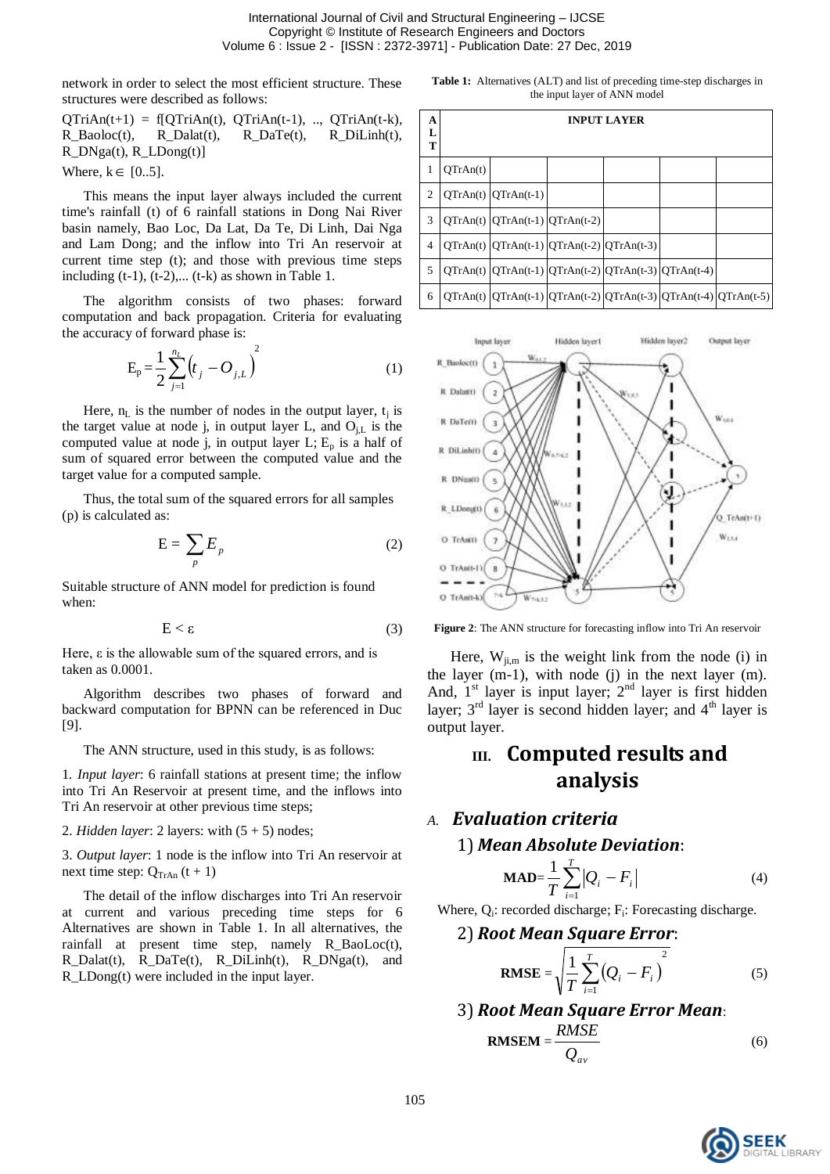International Journal of Civil and Structural Engineering – IJCSE Copyright © Institute of Research Engineers and Doctors Volume 6 : Issue 2 - [ISSN : 2372-3971] - Publication Date: 27 Dec, 2019

network in order to select the most efficient structure. These structures were described as follows:

 $QTriAn(t+1) = f[QTriAn(t), QTriAn(t-1), ..., QTriAn(t-k),$ R\_Baoloc(t), R\_Dalat(t), R\_DaTe(t), R\_DiLinh(t), R\_DNga(t), R\_LDong(t)]

Where,  $k \in [0..5]$ .

 This means the input layer always included the current time's rainfall (t) of 6 rainfall stations in Dong Nai River basin namely, Bao Loc, Da Lat, Da Te, Di Linh, Dai Nga and Lam Dong; and the inflow into Tri An reservoir at current time step (t); and those with previous time steps including  $(t-1)$ ,  $(t-2)$ ,...  $(t-k)$  as shown in Table 1.

 The algorithm consists of two phases: forward computation and back propagation. Criteria for evaluating the accuracy of forward phase is:

$$
E_p = \frac{1}{2} \sum_{j=1}^{n_L} \left( t_j - O_{j,L} \right)^2
$$
 (1)

Here,  $n_L$  is the number of nodes in the output layer,  $t_i$  is the target value at node j, in output layer L, and  $O_{i,L}$  is the computed value at node j, in output layer  $L; E_p$  is a half of sum of squared error between the computed value and the target value for a computed sample.

 Thus, the total sum of the squared errors for all samples (p) is calculated as:

$$
E = \sum_{p} E_{p} \tag{2}
$$

Suitable structure of ANN model for prediction is found when:

$$
E < \varepsilon \tag{3}
$$

Here,  $\varepsilon$  is the allowable sum of the squared errors, and is taken as 0.0001.

 Algorithm describes two phases of forward and backward computation for BPNN can be referenced in Duc [9].

The ANN structure, used in this study, is as follows:

1*. Input layer*: 6 rainfall stations at present time; the inflow into Tri An Reservoir at present time, and the inflows into Tri An reservoir at other previous time steps;

2. *Hidden layer*: 2 layers: with  $(5 + 5)$  nodes;

3. *Output layer*: 1 node is the inflow into Tri An reservoir at next time step:  $Q_{\text{TrAn}}(t + 1)$ 

 The detail of the inflow discharges into Tri An reservoir at current and various preceding time steps for 6 Alternatives are shown in Table 1. In all alternatives, the rainfall at present time step, namely R\_BaoLoc(t), R\_Dalat(t), R\_DaTe(t), R\_DiLinh(t), R\_DNga(t), and R\_LDong(t) were included in the input layer.

**Table 1:** Alternatives (ALT) and list of preceding time-step discharges in the input layer of ANN model

| A<br>L<br>T    |          |                                                                | <b>INPUT LAYER</b> |                                                                             |
|----------------|----------|----------------------------------------------------------------|--------------------|-----------------------------------------------------------------------------|
| 1              | QTrAn(t) |                                                                |                    |                                                                             |
| 2              |          | $QTrAn(t)$ $QTrAn(t-1)$                                        |                    |                                                                             |
| 3              |          | $QTrAn(t)$ $QTrAn(t-1)$ $QTrAn(t-2)$                           |                    |                                                                             |
| $\overline{4}$ |          | $QTrAn(t)$ $QTrAn(t-1)$ $QTrAn(t-2)$ $QTrAn(t-3)$              |                    |                                                                             |
| 5              |          | $QTrAn(t)$ $QTrAn(t-1)$ $QTrAn(t-2)$ $QTrAn(t-3)$ $QTrAn(t-4)$ |                    |                                                                             |
| 6              |          |                                                                |                    | $QTrAn(t)$ $QTrAn(t-1)$ $QTrAn(t-2)$ $QTrAn(t-3)$ $QTrAn(t-4)$ $QTrAn(t-5)$ |



**Figure 2**: The ANN structure for forecasting inflow into Tri An reservoir

Here,  $W_{ji,m}$  is the weight link from the node (i) in the layer (m-1), with node (j) in the next layer (m). And,  $1<sup>st</sup>$  layer is input layer;  $2<sup>nd</sup>$  layer is first hidden layer;  $3<sup>rd</sup>$  layer is second hidden layer; and  $4<sup>th</sup>$  layer is output layer.

## **III. Computed results and analysis**

#### *A. Evaluation criteria*

#### 1) *Mean Absolute Deviation*:

$$
\mathbf{MAD} = \frac{1}{T} \sum_{i=1}^{T} |Q_i - F_i|
$$
 (4)

Where, Q<sub>i</sub>: recorded discharge; F<sub>i</sub>: Forecasting discharge.

2) Root Mean Square Error:  
\n
$$
RMSE = \sqrt{\frac{1}{T} \sum_{i=1}^{T} (Q_i - F_i)^2}
$$
\n(5)

3) Root Mean Square Error Mean:  
\n
$$
RMSEM = \frac{RMSE}{Q_{av}}
$$
\n(6)

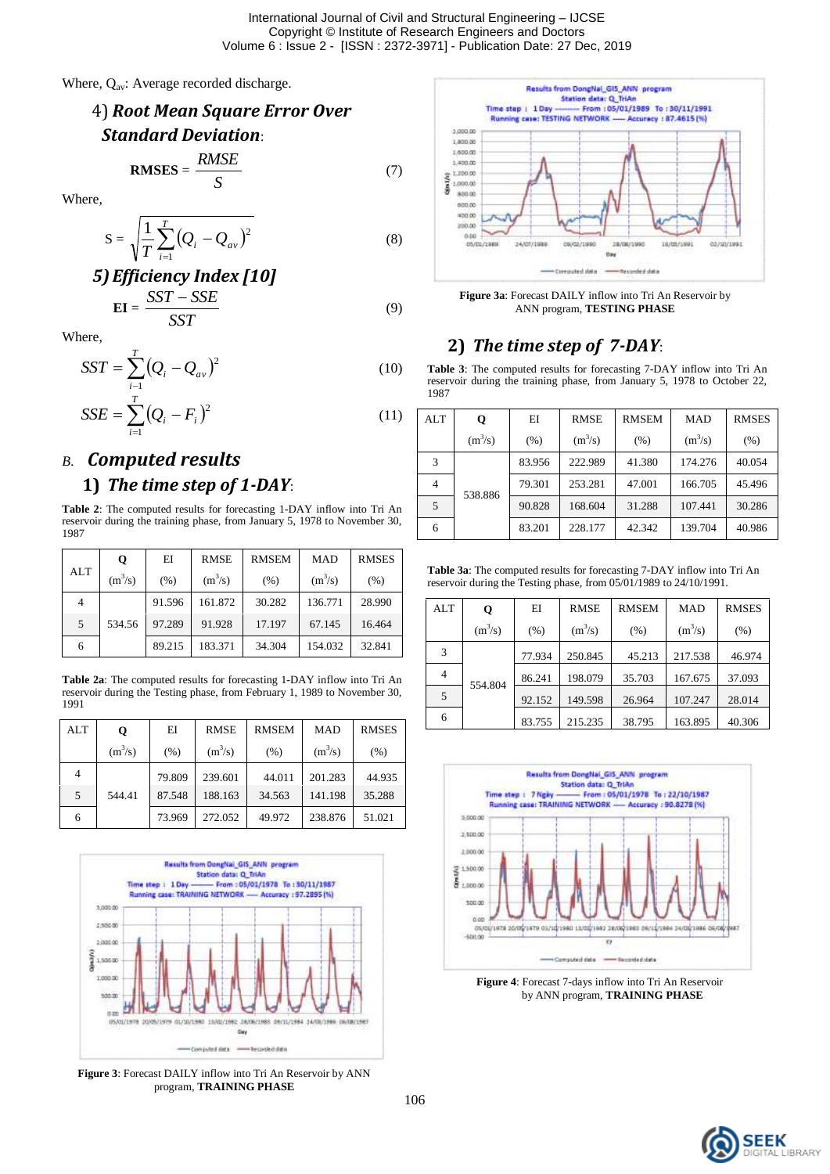Where, Q<sub>av</sub>: Average recorded discharge.



Where,

$$
S = \sqrt{\frac{1}{T} \sum_{i=1}^{T} (Q_i - Q_{av})^2}
$$
 (8)

5) **Efficiency Index [10]**  
 
$$
EI = \frac{SST - SSE}{SST}
$$
 (9)

Where,

1987

$$
SST = \sum_{i=1}^{T} (Q_i - Q_{av})^2
$$
 (10)

$$
SSE = \sum_{i=1}^{T} (Q_i - F_i)^2
$$
 (11)

## *B. Computed results* **1)** *The time step of 1-DAY*:

#### **Table 2**: The computed results for forecasting 1-DAY inflow into Tri An reservoir during the training phase, from January 5, 1978 to November 30,

|     | Q         | EI     | <b>RMSE</b> | <b>RMSEM</b> | <b>MAD</b> | <b>RMSES</b> |
|-----|-----------|--------|-------------|--------------|------------|--------------|
| ALT | $(m^3/s)$ | (% )   | $(m^3/s)$   | (% )         | $(m^3/s)$  | (% )         |
| 4   |           | 91.596 | 161.872     | 30.282       | 136.771    | 28.990       |
| 5   | 534.56    | 97.289 | 91.928      | 17.197       | 67.145     | 16.464       |
| 6   |           | 89.215 | 183.371     | 34.304       | 154.032    | 32.841       |

**Table 2a**: The computed results for forecasting 1-DAY inflow into Tri An reservoir during the Testing phase, from February 1, 1989 to November 30, 1991

| <b>ALT</b> | Q         | EI     | <b>RMSE</b> | <b>RMSEM</b> | <b>MAD</b> | <b>RMSES</b> |
|------------|-----------|--------|-------------|--------------|------------|--------------|
|            | $(m^3/s)$ | (% )   | $(m^3/s)$   | (% )         | $(m^3/s)$  | (% )         |
| 4          |           | 79.809 | 239.601     | 44.011       | 201.283    | 44.935       |
| 5          | 544.41    | 87.548 | 188.163     | 34.563       | 141.198    | 35.288       |
| 6          |           | 73.969 | 272.052     | 49.972       | 238.876    | 51.021       |



**Figure 3**: Forecast DAILY inflow into Tri An Reservoir by ANN program, **TRAINING PHASE**



**Figure 3a**: Forecast DAILY inflow into Tri An Reservoir by ANN program, **TESTING PHASE**

## **2)** *The time step of 7-DAY*:

**Table 3**: The computed results for forecasting 7-DAY inflow into Tri An reservoir during the training phase, from January 5, 1978 to October 22, 1987

| ALT | Q         | EI     | <b>RMSE</b> | <b>RMSEM</b> | <b>MAD</b> | <b>RMSES</b> |
|-----|-----------|--------|-------------|--------------|------------|--------------|
|     | $(m^3/s)$ | (% )   | $(m^3/s)$   | (% )         | $(m^3/s)$  | (% )         |
| 3   |           | 83.956 | 222.989     | 41.380       | 174.276    | 40.054       |
|     | 538.886   | 79.301 | 253.281     | 47.001       | 166.705    | 45.496       |
| 5   |           | 90.828 | 168.604     | 31.288       | 107.441    | 30.286       |
| 6   |           | 83.201 | 228.177     | 42.342       | 139.704    | 40.986       |

**Table 3a**: The computed results for forecasting 7-DAY inflow into Tri An reservoir during the Testing phase, from 05/01/1989 to 24/10/1991.

| <b>ALT</b> | Q         | EI     | <b>RMSE</b> | <b>RMSEM</b> | <b>MAD</b> | <b>RMSES</b> |
|------------|-----------|--------|-------------|--------------|------------|--------------|
|            | $(m^3/s)$ | (% )   | $(m^3/s)$   | (% )         | $(m^3/s)$  | (% )         |
| 3          |           | 77.934 | 250.845     | 45.213       | 217.538    | 46.974       |
| 4          |           | 86.241 | 198.079     | 35.703       | 167.675    | 37.093       |
| 5          | 554.804   | 92.152 | 149.598     | 26.964       | 107.247    | 28.014       |
| 6          |           | 83.755 | 215.235     | 38.795       | 163.895    | 40.306       |



**Figure 4**: Forecast 7-days inflow into Tri An Reservoir by ANN program, **TRAINING PHASE**

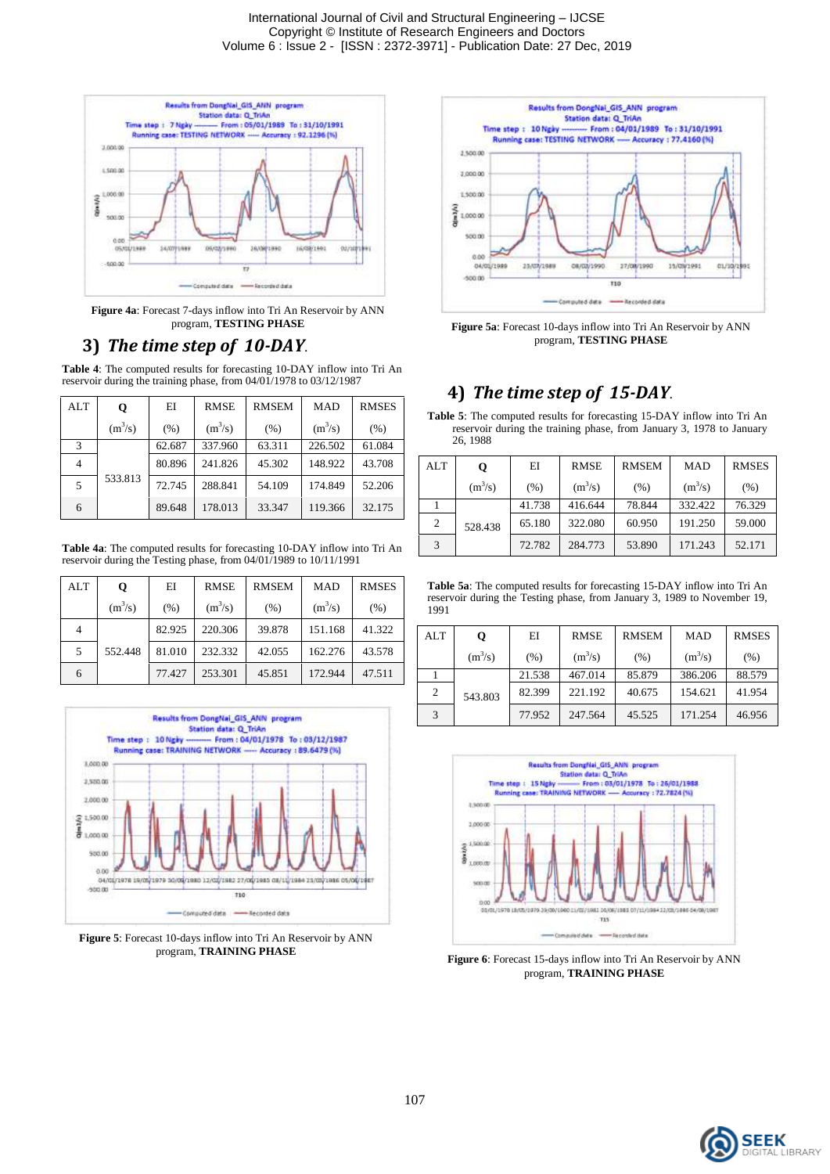

**Figure 4a**: Forecast 7-days inflow into Tri An Reservoir by ANN program, **TESTING PHASE**

#### **3)** *The time step of 10-DAY*.

**Table 4**: The computed results for forecasting 10-DAY inflow into Tri An reservoir during the training phase, from 04/01/1978 to 03/12/1987

| <b>ALT</b> | Q         | EI     | <b>RMSE</b> | <b>RMSEM</b> | <b>MAD</b> | <b>RMSES</b> |
|------------|-----------|--------|-------------|--------------|------------|--------------|
|            | $(m^3/s)$ | (% )   | $(m^3/s)$   | (% )         | $(m^3/s)$  | (% )         |
| 3          |           | 62.687 | 337.960     | 63.311       | 226.502    | 61.084       |
|            |           | 80.896 | 241.826     | 45.302       | 148.922    | 43.708       |
| 5          | 533.813   | 72.745 | 288.841     | 54.109       | 174.849    | 52.206       |
| 6          |           | 89.648 | 178.013     | 33.347       | 119.366    | 32.175       |

**Table 4a**: The computed results for forecasting 10-DAY inflow into Tri An reservoir during the Testing phase, from 04/01/1989 to 10/11/1991

| <b>ALT</b> | Q         | ΕI     | <b>RMSE</b> | <b>RMSEM</b> | <b>MAD</b> | <b>RMSES</b> |
|------------|-----------|--------|-------------|--------------|------------|--------------|
|            | $(m^3/s)$ | (% )   | $(m^3/s)$   | (% )         | $(m^3/s)$  | (% )         |
|            |           | 82.925 | 220.306     | 39.878       | 151.168    | 41.322       |
| 5          | 552.448   | 81.010 | 232.332     | 42.055       | 162.276    | 43.578       |
| 6          |           | 77.427 | 253.301     | 45.851       | 172.944    | 47.511       |



**Figure 5**: Forecast 10-days inflow into Tri An Reservoir by ANN program, **TRAINING PHASE**



**Figure 5a**: Forecast 10-days inflow into Tri An Reservoir by ANN program, **TESTING PHASE**

## **4)** *The time step of 15-DAY.*

**Table 5**: The computed results for forecasting 15-DAY inflow into Tri An reservoir during the training phase, from January 3, 1978 to January 26, 1988

| ALT | Q         | EI     | <b>RMSE</b> | <b>RMSEM</b> | <b>MAD</b> | <b>RMSES</b> |
|-----|-----------|--------|-------------|--------------|------------|--------------|
|     | $(m^3/s)$ | (%)    | $(m^3/s)$   | (% )         | $(m^3/s)$  | (% )         |
|     | 528.438   | 41.738 | 416.644     | 78.844       | 332.422    | 76.329       |
| 2   |           | 65.180 | 322.080     | 60.950       | 191.250    | 59.000       |
|     |           | 72.782 | 284.773     | 53.890       | 171.243    | 52.171       |

**Table 5a**: The computed results for forecasting 15-DAY inflow into Tri An reservoir during the Testing phase, from January 3, 1989 to November 19, 1991

| <b>ALT</b>    | Q         | EI     | <b>RMSE</b> | <b>RMSEM</b> | <b>MAD</b> | <b>RMSES</b> |
|---------------|-----------|--------|-------------|--------------|------------|--------------|
|               | $(m^3/s)$ | (% )   | $(m^3/s)$   | (% )         | $(m^3/s)$  | (% )         |
|               |           | 21.538 | 467.014     | 85.879       | 386.206    | 88.579       |
| 2             | 543.803   | 82.399 | 221.192     | 40.675       | 154.621    | 41.954       |
| $\mathcal{R}$ |           | 77.952 | 247.564     | 45.525       | 171.254    | 46.956       |



**Figure 6**: Forecast 15-days inflow into Tri An Reservoir by ANN program, **TRAINING PHASE**

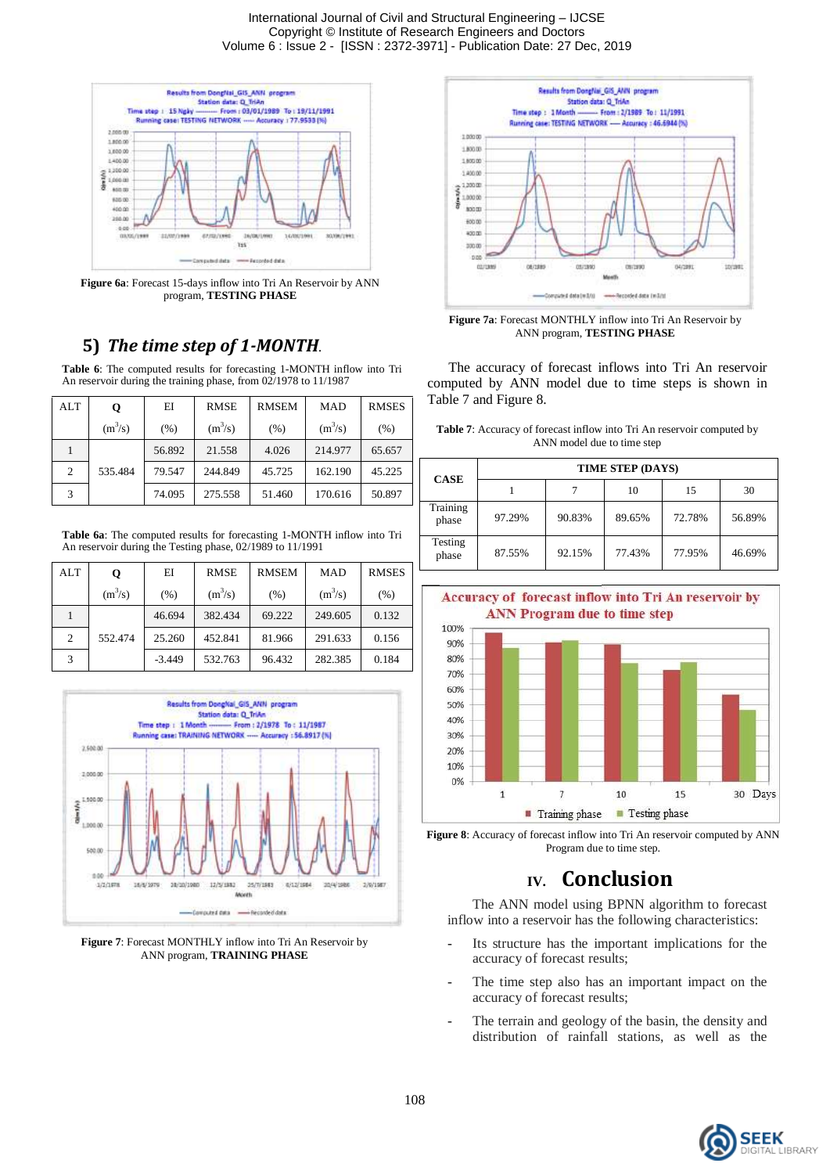International Journal of Civil and Structural Engineering – IJCSE Copyright © Institute of Research Engineers and Doctors Volume 6 : Issue 2 - [ISSN : 2372-3971] - Publication Date: 27 Dec, 2019



**Figure 6a**: Forecast 15-days inflow into Tri An Reservoir by ANN program, **TESTING PHASE**

## **5)** *The time step of 1-MONTH.*

**Table 6**: The computed results for forecasting 1-MONTH inflow into Tri An reservoir during the training phase, from 02/1978 to 11/1987

| ALT | Q         | EI     | <b>RMSE</b> | <b>RMSEM</b> | <b>MAD</b> | <b>RMSES</b> |
|-----|-----------|--------|-------------|--------------|------------|--------------|
|     | $(m^3/s)$ | (% )   | $(m^3/s)$   | (% )         | $(m^3/s)$  | (% )         |
|     |           | 56.892 | 21.558      | 4.026        | 214.977    | 65.657       |
| 2   | 535.484   | 79.547 | 244.849     | 45.725       | 162.190    | 45.225       |
| 3   |           | 74.095 | 275.558     | 51.460       | 170.616    | 50.897       |

**Table 6a**: The computed results for forecasting 1-MONTH inflow into Tri An reservoir during the Testing phase, 02/1989 to 11/1991

| ALT | Q         | EI       | <b>RMSE</b> | <b>RMSEM</b> | <b>MAD</b> | <b>RMSES</b> |
|-----|-----------|----------|-------------|--------------|------------|--------------|
|     | $(m^3/s)$ | (% )     | $(m^3/s)$   | (% )         | $(m^3/s)$  | (% )         |
|     |           | 46.694   | 382.434     | 69.222       | 249.605    | 0.132        |
| 2   | 552.474   | 25.260   | 452.841     | 81.966       | 291.633    | 0.156        |
|     |           | $-3.449$ | 532.763     | 96.432       | 282.385    | 0.184        |



**Figure 7**: Forecast MONTHLY inflow into Tri An Reservoir by ANN program, **TRAINING PHASE**



**Figure 7a**: Forecast MONTHLY inflow into Tri An Reservoir by ANN program, **TESTING PHASE**

 The accuracy of forecast inflows into Tri An reservoir computed by ANN model due to time steps is shown in Table 7 and Figure 8.

| <b>Table 7:</b> Accuracy of forecast inflow into Tri An reservoir computed by |
|-------------------------------------------------------------------------------|
| ANN model due to time step                                                    |

| <b>CASE</b>       | TIME STEP (DAYS) |        |        |        |        |
|-------------------|------------------|--------|--------|--------|--------|
|                   |                  |        | 10     | 15     | 30     |
| Training<br>phase | 97.29%           | 90.83% | 89.65% | 72.78% | 56.89% |
| Testing<br>phase  | 87.55%           | 92.15% | 77.43% | 77.95% | 46.69% |



**Figure 8**: Accuracy of forecast inflow into Tri An reservoir computed by ANN Program due to time step.

## **IV. Conclusion**

The ANN model using BPNN algorithm to forecast inflow into a reservoir has the following characteristics:

- Its structure has the important implications for the accuracy of forecast results;
- The time step also has an important impact on the accuracy of forecast results;
- The terrain and geology of the basin, the density and distribution of rainfall stations, as well as the